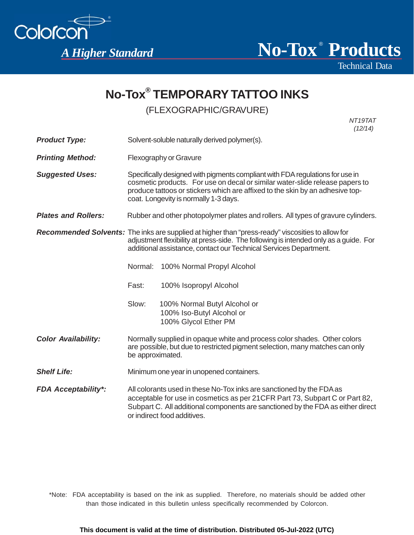

® *A Higher Standard* **No-Tox Products**

Technical Data

# **No-Tox® TEMPORARY TATTOO INKS**

### (FLEXOGRAPHIC/GRAVURE)

 *NT19TAT (12/14)*

| <b>Product Type:</b>       | Solvent-soluble naturally derived polymer(s).                                                                                                                                                                                                                                           |                                                                                   |
|----------------------------|-----------------------------------------------------------------------------------------------------------------------------------------------------------------------------------------------------------------------------------------------------------------------------------------|-----------------------------------------------------------------------------------|
| <b>Printing Method:</b>    | Flexography or Gravure                                                                                                                                                                                                                                                                  |                                                                                   |
| <b>Suggested Uses:</b>     | Specifically designed with pigments compliant with FDA regulations for use in<br>cosmetic products. For use on decal or similar water-slide release papers to<br>produce tattoos or stickers which are affixed to the skin by an adhesive top-<br>coat. Longevity is normally 1-3 days. |                                                                                   |
| <b>Plates and Rollers:</b> | Rubber and other photopolymer plates and rollers. All types of gravure cylinders.                                                                                                                                                                                                       |                                                                                   |
|                            | Recommended Solvents: The inks are supplied at higher than "press-ready" viscosities to allow for<br>adjustment flexibility at press-side. The following is intended only as a guide. For<br>additional assistance, contact our Technical Services Department.                          |                                                                                   |
|                            |                                                                                                                                                                                                                                                                                         | Normal: 100% Normal Propyl Alcohol                                                |
|                            | Fast:                                                                                                                                                                                                                                                                                   | 100% Isopropyl Alcohol                                                            |
|                            | Slow:                                                                                                                                                                                                                                                                                   | 100% Normal Butyl Alcohol or<br>100% Iso-Butyl Alcohol or<br>100% Glycol Ether PM |
| <b>Color Availability:</b> | Normally supplied in opaque white and process color shades. Other colors<br>are possible, but due to restricted pigment selection, many matches can only<br>be approximated.                                                                                                            |                                                                                   |
| <b>Shelf Life:</b>         | Minimum one year in unopened containers.                                                                                                                                                                                                                                                |                                                                                   |
| <b>FDA Acceptability*:</b> | All colorants used in these No-Tox inks are sanctioned by the FDA as<br>acceptable for use in cosmetics as per 21CFR Part 73, Subpart C or Part 82,<br>Subpart C. All additional components are sanctioned by the FDA as either direct<br>or indirect food additives.                   |                                                                                   |

\*Note: FDA acceptability is based on the ink as supplied. Therefore, no materials should be added other than those indicated in this bulletin unless specifically recommended by Colorcon.